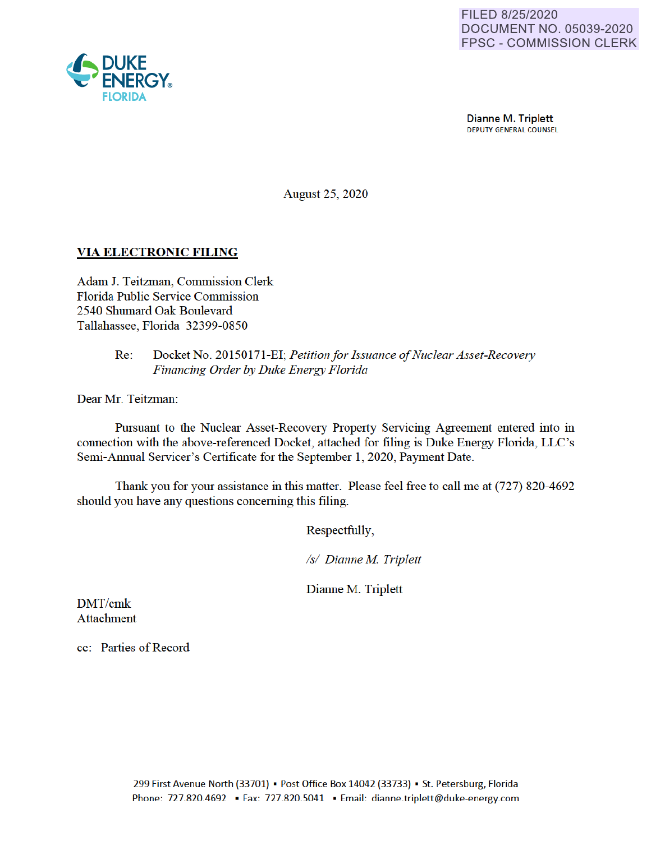

Dianne M. Triplett DEPUTY GENERAL COUNSEL

August 25 2020

## **VIA ELECTRONIC FILING**

Adam J. Teitzman, Commission Clerk Florida Public Service Commission 2540 Shumard Oak Boulevard Tallahassee, Florida 32399-0850

### Re: Docket No. 20150171-EI· *Petition/or Issuance of Nuclear Asset-Recovery Financing Order* by *Duke Energy Florida*

Dear Mr. Teitzman:

Pursuant to the Nuclear Asset-Recovery Property Servicing Agreement entered into in connection with the above-referenced Docket, attached for filing is Duke Energy Florida, LLC's Semi-Annual Servicer's Certificate for the September 1, 2020, Payment Date.

Thank you for your assistance in this matter. Please feel free to call me at (727) 820-4692 should you have any questions concerning this filing.

Respectfully,

*Isl Dianne M Triplett* 

Dianne M. Triplett

DMT/cmk Attachment

cc: Parties of Record

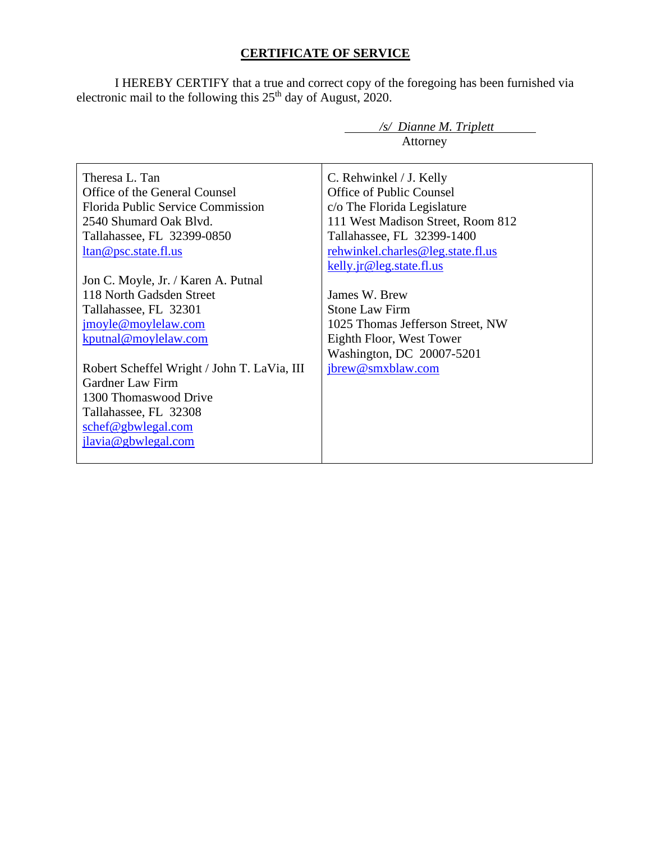# **CERTIFICATE OF SERVICE**

I HEREBY CERTIFY that a true and correct copy of the foregoing has been furnished via electronic mail to the following this  $25<sup>th</sup>$  day of August, 2020.

|                                             | $\sqrt{s}$ Dianne M. Triplett     |
|---------------------------------------------|-----------------------------------|
|                                             | Attorney                          |
|                                             |                                   |
| Theresa L. Tan                              | C. Rehwinkel / J. Kelly           |
| Office of the General Counsel               | <b>Office of Public Counsel</b>   |
| <b>Florida Public Service Commission</b>    | c/o The Florida Legislature       |
| 2540 Shumard Oak Blyd.                      | 111 West Madison Street, Room 812 |
| Tallahassee, FL 32399-0850                  | Tallahassee, FL 32399-1400        |
| ltan@psc.state.fl.us                        | rehwinkel.charles@leg.state.fl.us |
|                                             | kelly.jr@leg.state.fl.us          |
| Jon C. Moyle, Jr. / Karen A. Putnal         |                                   |
| 118 North Gadsden Street                    | James W. Brew                     |
| Tallahassee, FL 32301                       | <b>Stone Law Firm</b>             |
| jmoyle@moylelaw.com                         | 1025 Thomas Jefferson Street, NW  |
| kputnal@moylelaw.com                        | Eighth Floor, West Tower          |
|                                             | Washington, DC 20007-5201         |
| Robert Scheffel Wright / John T. LaVia, III | jbrew@smxblaw.com                 |
| <b>Gardner Law Firm</b>                     |                                   |
| 1300 Thomaswood Drive                       |                                   |
| Tallahassee, FL 32308                       |                                   |
| schef@gbwlegal.com                          |                                   |
| jlavia@gbwlegal.com                         |                                   |
|                                             |                                   |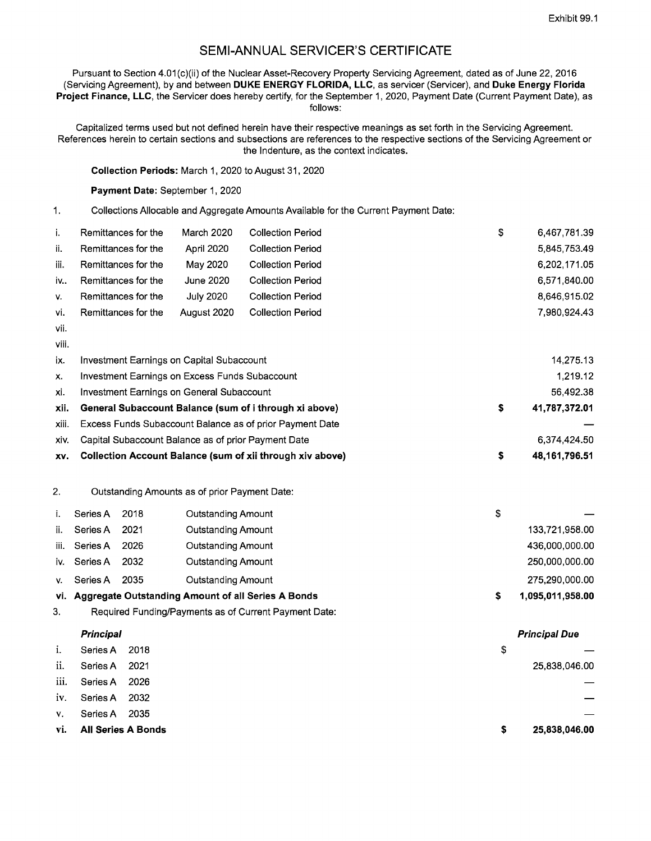**Principal Due** 

## **SEMI-ANNUAL SERVICER'S CERTIFICATE**

Pursuant to Section 4.01(c)(ii) of the Nuclear Asset-Recovery Property Servicing Agreement, dated as of June 22, 2016 (Servicing Agreement), by and between **DUKE ENERGY FLORIDA, LLC,** as servicer (Servicer), and **Duke Energy Florida Project Finance, LLC,** the Servicer does hereby certify, for the September 1, 2020, Payment Date (Current Payment Date), as follows:

Capitalized terms used but not defined herein have their respective meanings as set forth in the Servicing Agreement. References herein to certain sections and subsections are references to the respective sections of the Servicing Agreement or the Indenture, as the context indicates.

**Collection Periods:** March 1, 2020 to August 31, 2020

**Payment Date:** September 1, 2020

1. Collections Allocable and Aggregate Amounts Available for the Current Payment Date:

| i.    | Remittances for the                                              | March 2020       | <b>Collection Period</b> |                     | \$<br>6,467,781.39 |
|-------|------------------------------------------------------------------|------------------|--------------------------|---------------------|--------------------|
| ii.   | Remittances for the                                              | April 2020       | <b>Collection Period</b> |                     | 5,845,753.49       |
| iii.  | Remittances for the                                              | May 2020         | <b>Collection Period</b> |                     | 6,202,171.05       |
| iv    | Remittances for the                                              | June 2020        | <b>Collection Period</b> |                     | 6,571,840.00       |
| V.    | Remittances for the                                              | <b>July 2020</b> | <b>Collection Period</b> |                     | 8,646,915.02       |
| vi.   | Remittances for the                                              | August 2020      | <b>Collection Period</b> |                     | 7,980,924.43       |
| vii.  |                                                                  |                  |                          |                     |                    |
| viii. |                                                                  |                  |                          |                     |                    |
| ix.   | Investment Earnings on Capital Subaccount                        |                  |                          |                     | 14,275.13          |
| x.    | Investment Earnings on Excess Funds Subaccount                   |                  |                          |                     | 1,219.12           |
| xi.   | <b>Investment Earnings on General Subaccount</b>                 |                  |                          |                     | 56,492.38          |
| xii.  | General Subaccount Balance (sum of i through xi above)           |                  |                          | \$<br>41,787,372.01 |                    |
| xiii. | Excess Funds Subaccount Balance as of prior Payment Date         |                  |                          |                     |                    |
| XİV.  | Capital Subaccount Balance as of prior Payment Date              |                  |                          |                     | 6,374,424.50       |
| XV.   | <b>Collection Account Balance (sum of xii through xiv above)</b> |                  |                          | \$<br>48,161,796.51 |                    |
|       |                                                                  |                  |                          |                     |                    |

2. Outstanding Amounts as of prior Payment Date:

|      | Series A | 2018 | Outstanding Amount                                     | S |                  |
|------|----------|------|--------------------------------------------------------|---|------------------|
| ii.  | Series A | 2021 | <b>Outstanding Amount</b>                              |   | 133,721,958.00   |
| iii. | Series A | 2026 | Outstanding Amount                                     |   | 436,000,000.00   |
| iv.  | Series A | 2032 | <b>Outstanding Amount</b>                              |   | 250,000,000.00   |
| V.   | Series A | 2035 | Outstanding Amount                                     |   | 275.290.000.00   |
|      |          |      | vi. Aggregate Outstanding Amount of all Series A Bonds |   | 1,095,011,958.00 |

3. Required Funding/Payments as of Current Payment Date:

#### **Principal**

| i.            | Series A 2018          |      | S  |               |
|---------------|------------------------|------|----|---------------|
| ii.           | Series A               | 2021 |    | 25,838,046.00 |
|               | iii. Series A          | 2026 |    |               |
|               | iv. Series A 2032      |      |    |               |
| $V_{\bullet}$ | Series A               | 2035 |    |               |
|               | vi. All Series A Bonds |      | S. | 25,838,046.00 |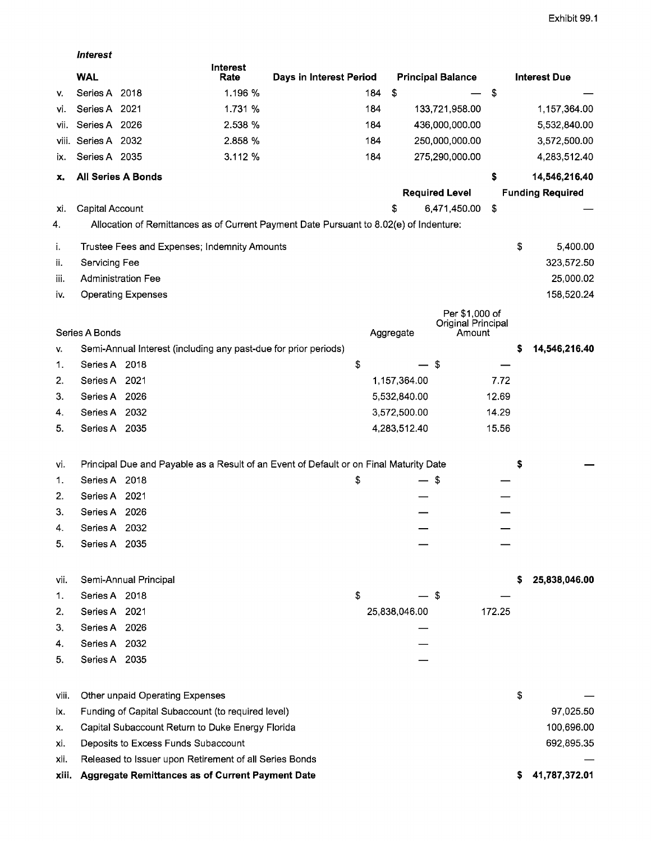|       | <b>Interest</b>           |                                                                 |                         |                                                                                        |               |                              |        |    |                         |
|-------|---------------------------|-----------------------------------------------------------------|-------------------------|----------------------------------------------------------------------------------------|---------------|------------------------------|--------|----|-------------------------|
|       | <b>WAL</b>                |                                                                 | <b>Interest</b><br>Rate | Days in Interest Period                                                                |               | <b>Principal Balance</b>     |        |    | <b>Interest Due</b>     |
| v.    | Series A 2018             |                                                                 | 1.196 %                 | 184                                                                                    | \$            |                              | \$     |    |                         |
| vi.   | Series A 2021             |                                                                 | 1.731 %                 | 184                                                                                    |               | 133,721,958.00               |        |    | 1,157,364.00            |
| vii.  | Series A 2026             |                                                                 | 2.538 %                 | 184                                                                                    |               | 436,000,000.00               |        |    | 5,532,840.00            |
| viii. | Series A 2032             |                                                                 | 2.858 %                 | 184                                                                                    |               | 250,000,000.00               |        |    | 3,572,500.00            |
| IX.   | Series A 2035             |                                                                 | 3.112 %                 | 184                                                                                    |               | 275,290,000.00               |        |    | 4,283,512.40            |
| x.    | <b>All Series A Bonds</b> |                                                                 |                         |                                                                                        |               |                              | \$     |    | 14,546,216.40           |
|       |                           |                                                                 |                         |                                                                                        |               | <b>Required Level</b>        |        |    | <b>Funding Required</b> |
| xi.   | <b>Capital Account</b>    |                                                                 |                         |                                                                                        | \$            | 6,471,450.00                 | \$     |    |                         |
| 4.    |                           |                                                                 |                         | Allocation of Remittances as of Current Payment Date Pursuant to 8.02(e) of Indenture: |               |                              |        |    |                         |
| i.    |                           | Trustee Fees and Expenses; Indemnity Amounts                    |                         |                                                                                        |               |                              |        | \$ | 5,400.00                |
| ii.   | Servicing Fee             |                                                                 |                         |                                                                                        |               |                              |        |    | 323,572.50              |
| iii.  | <b>Administration Fee</b> |                                                                 |                         |                                                                                        |               |                              |        |    | 25,000.02               |
| İV.   |                           | <b>Operating Expenses</b>                                       |                         |                                                                                        |               |                              |        |    | 158,520.24              |
|       |                           |                                                                 |                         |                                                                                        |               | Per \$1,000 of               |        |    |                         |
|       | Series A Bonds            |                                                                 |                         |                                                                                        | Aggregate     | Original Principal<br>Amount |        |    |                         |
| V.    |                           | Semi-Annual Interest (including any past-due for prior periods) |                         |                                                                                        |               |                              |        | s  | 14,546,216.40           |
| 1.    | Series A 2018             |                                                                 |                         | \$                                                                                     |               | \$                           |        |    |                         |
| 2.    | Series A 2021             |                                                                 |                         |                                                                                        | 1,157,364.00  |                              | 7.72   |    |                         |
| 3.    | Series A 2026             |                                                                 |                         |                                                                                        | 5,532,840.00  |                              | 12.69  |    |                         |
| 4.    | Series A 2032             |                                                                 |                         |                                                                                        | 3,572,500.00  |                              | 14.29  |    |                         |
| 5.    | Series A 2035             |                                                                 |                         |                                                                                        | 4,283,512.40  |                              | 15.56  |    |                         |
|       |                           |                                                                 |                         |                                                                                        |               |                              |        |    |                         |
| vi.   |                           |                                                                 |                         | Principal Due and Payable as a Result of an Event of Default or on Final Maturity Date |               |                              |        | Ş  |                         |
| 1.    | Series A 2018             |                                                                 |                         | \$                                                                                     | — \$          |                              |        |    |                         |
| 2.    | Series A 2021             |                                                                 |                         |                                                                                        |               |                              |        |    |                         |
| 3.    | Series A 2026             |                                                                 |                         |                                                                                        |               |                              |        |    |                         |
| 4.    | Series A 2032             |                                                                 |                         |                                                                                        |               |                              |        |    |                         |
| 5.    | Series A 2035             |                                                                 |                         |                                                                                        |               |                              |        |    |                         |
|       |                           |                                                                 |                         |                                                                                        |               |                              |        |    |                         |
| vii.  |                           | Semi-Annual Principal                                           |                         |                                                                                        |               |                              |        | s  | 25,838,046.00           |
| 1.    | Series A 2018             |                                                                 |                         | \$                                                                                     |               | \$                           |        |    |                         |
| 2.    | Series A 2021             |                                                                 |                         |                                                                                        | 25,838,046.00 |                              | 172.25 |    |                         |
| З.    | Series A 2026             |                                                                 |                         |                                                                                        |               |                              |        |    |                         |
| 4.    | Series A 2032             |                                                                 |                         |                                                                                        |               |                              |        |    |                         |
| 5.    | Series A 2035             |                                                                 |                         |                                                                                        |               |                              |        |    |                         |
|       |                           |                                                                 |                         |                                                                                        |               |                              |        |    |                         |
| viii. |                           | Other unpaid Operating Expenses                                 |                         |                                                                                        |               |                              |        | \$ |                         |
| ix.   |                           | Funding of Capital Subaccount (to required level)               |                         |                                                                                        |               |                              |        |    | 97,025.50               |
| х.    |                           | Capital Subaccount Return to Duke Energy Florida                |                         |                                                                                        |               |                              |        |    | 100,696.00              |
| xi.   |                           | Deposits to Excess Funds Subaccount                             |                         |                                                                                        |               |                              |        |    | 692,895.35              |
| xii.  |                           | Released to Issuer upon Retirement of all Series Bonds          |                         |                                                                                        |               |                              |        |    |                         |
| xiii. |                           | Aggregate Remittances as of Current Payment Date                |                         |                                                                                        |               |                              |        | s  | 41,787,372.01           |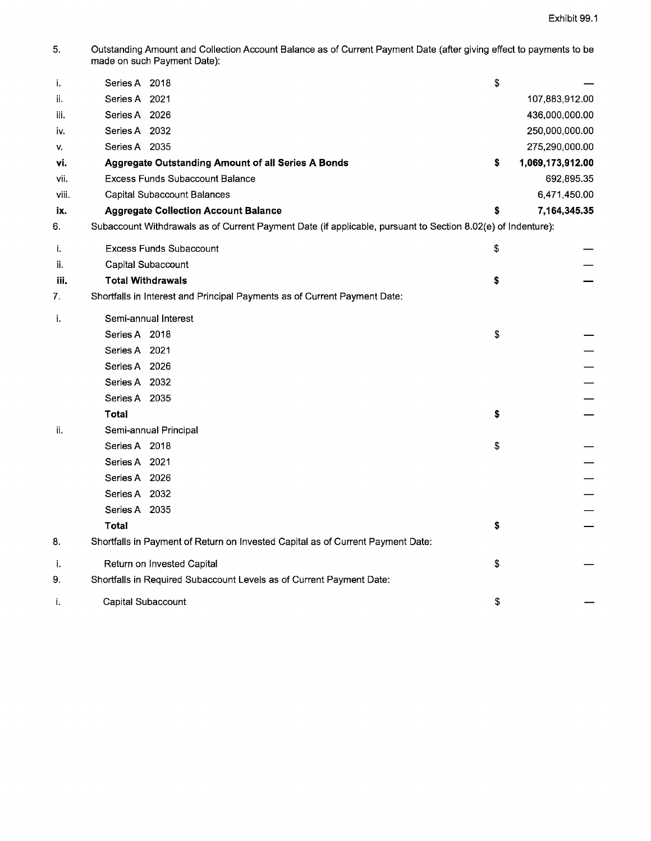5. Outstanding Amount and Collection Account Balance as of Current Payment Date (after giving effect to payments to be made on such Payment Date):

| j.    | Series A 2018                                                                                                | \$                     |
|-------|--------------------------------------------------------------------------------------------------------------|------------------------|
| ii.   | Series A 2021                                                                                                | 107,883,912.00         |
| iii.  | Series A 2026                                                                                                | 436,000,000.00         |
| İV.   | Series A 2032                                                                                                | 250,000,000.00         |
| ٧.    | Series A 2035                                                                                                | 275,290,000.00         |
| ٧i.   | Aggregate Outstanding Amount of all Series A Bonds                                                           | \$<br>1,069,173,912.00 |
| vii.  | <b>Excess Funds Subaccount Balance</b>                                                                       | 692,895.35             |
| viii. | Capital Subaccount Balances                                                                                  | 6,471,450.00           |
| ix.   | <b>Aggregate Collection Account Balance</b>                                                                  | \$<br>7,164,345.35     |
| 6.    | Subaccount Withdrawals as of Current Payment Date (if applicable, pursuant to Section 8.02(e) of Indenture): |                        |
| i.    | <b>Excess Funds Subaccount</b>                                                                               | \$                     |
| ii.   | Capital Subaccount                                                                                           |                        |
| iii.  | <b>Total Withdrawals</b>                                                                                     | \$                     |
| 7.    | Shortfalls in Interest and Principal Payments as of Current Payment Date:                                    |                        |
| j.    | Semi-annual Interest                                                                                         |                        |
|       | Series A 2018                                                                                                | \$                     |
|       | Series A 2021                                                                                                |                        |
|       | Series A 2026                                                                                                |                        |
|       | Series A 2032                                                                                                |                        |
|       | Series A 2035                                                                                                |                        |
|       | <b>Total</b>                                                                                                 | \$                     |
| ii.   | Semi-annual Principal                                                                                        |                        |
|       | Series A 2018                                                                                                | \$                     |
|       | Series A 2021                                                                                                |                        |
|       | Series A 2026                                                                                                |                        |
|       | Series A 2032                                                                                                |                        |
|       | Series A 2035                                                                                                |                        |
|       | <b>Total</b>                                                                                                 | \$                     |
| 8.    | Shortfalls in Payment of Return on Invested Capital as of Current Payment Date:                              |                        |
| j,    | Return on Invested Capital                                                                                   | \$                     |
| 9.    | Shortfalls in Required Subaccount Levels as of Current Payment Date:                                         |                        |
| i.    | Capital Subaccount                                                                                           | \$                     |